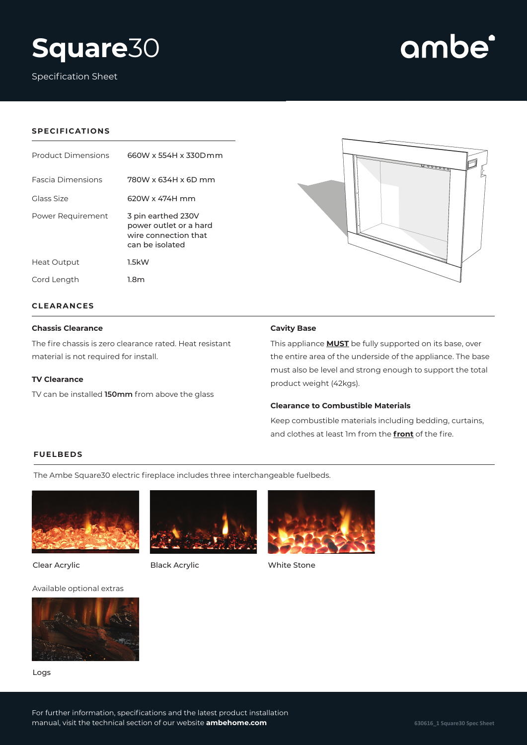

Specification Sheet

# ambe

# **SPECIFICATIONS**

| <b>Product Dimensions</b> | 660W x 554H x 330Dmm                                                                    |
|---------------------------|-----------------------------------------------------------------------------------------|
| <b>Fascia Dimensions</b>  | 780W x 634H x 6D mm                                                                     |
| Glass Size                | 620W x 474H mm                                                                          |
| Power Requirement         | 3 pin earthed 230V<br>power outlet or a hard<br>wire connection that<br>can be isolated |
| Heat Output               | 1.5kW                                                                                   |
| Cord Length               | 1.8m                                                                                    |



## **CLEARANCES**

#### **Chassis Clearance**

The fire chassis is zero clearance rated. Heat resistant material is not required for install.

#### **TV Clearance**

TV can be installed **150mm** from above the glass

#### **Cavity Base**

This appliance **MUST** be fully supported on its base, over the entire area of the underside of the appliance. The base must also be level and strong enough to support the total product weight (42kgs).

### **Clearance to Combustible Materials**

Keep combustible materials including bedding, curtains, and clothes at least 1m from the **front** of the fire.

### **FUELBEDS**

The Ambe Square30 electric fireplace includes three interchangeable fuelbeds.



Clear Acrylic Black Acrylic White Stone



Available optional extras



Logs

For further information, specifications and the latest product installation manual, visit the technical section of our website **ambehome.com**